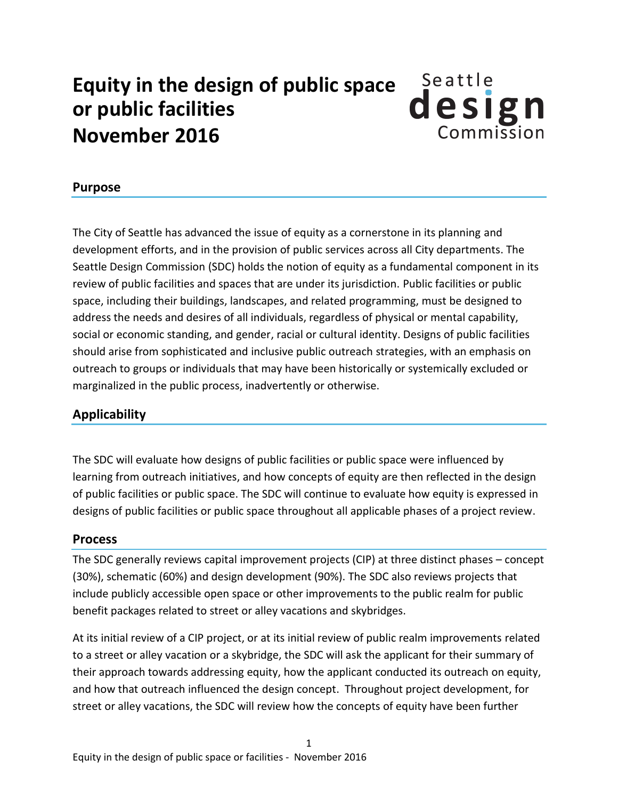## **Equity in the design of public space or public facilities November 2016**



## **Purpose**

The City of Seattle has advanced the issue of equity as a cornerstone in its planning and development efforts, and in the provision of public services across all City departments. The Seattle Design Commission (SDC) holds the notion of equity as a fundamental component in its review of public facilities and spaces that are under its jurisdiction. Public facilities or public space, including their buildings, landscapes, and related programming, must be designed to address the needs and desires of all individuals, regardless of physical or mental capability, social or economic standing, and gender, racial or cultural identity. Designs of public facilities should arise from sophisticated and inclusive public outreach strategies, with an emphasis on outreach to groups or individuals that may have been historically or systemically excluded or marginalized in the public process, inadvertently or otherwise.

## **Applicability**

The SDC will evaluate how designs of public facilities or public space were influenced by learning from outreach initiatives, and how concepts of equity are then reflected in the design of public facilities or public space. The SDC will continue to evaluate how equity is expressed in designs of public facilities or public space throughout all applicable phases of a project review.

## **Process**

The SDC generally reviews capital improvement projects (CIP) at three distinct phases – concept (30%), schematic (60%) and design development (90%). The SDC also reviews projects that include publicly accessible open space or other improvements to the public realm for public benefit packages related to street or alley vacations and skybridges.

At its initial review of a CIP project, or at its initial review of public realm improvements related to a street or alley vacation or a skybridge, the SDC will ask the applicant for their summary of their approach towards addressing equity, how the applicant conducted its outreach on equity, and how that outreach influenced the design concept. Throughout project development, for street or alley vacations, the SDC will review how the concepts of equity have been further